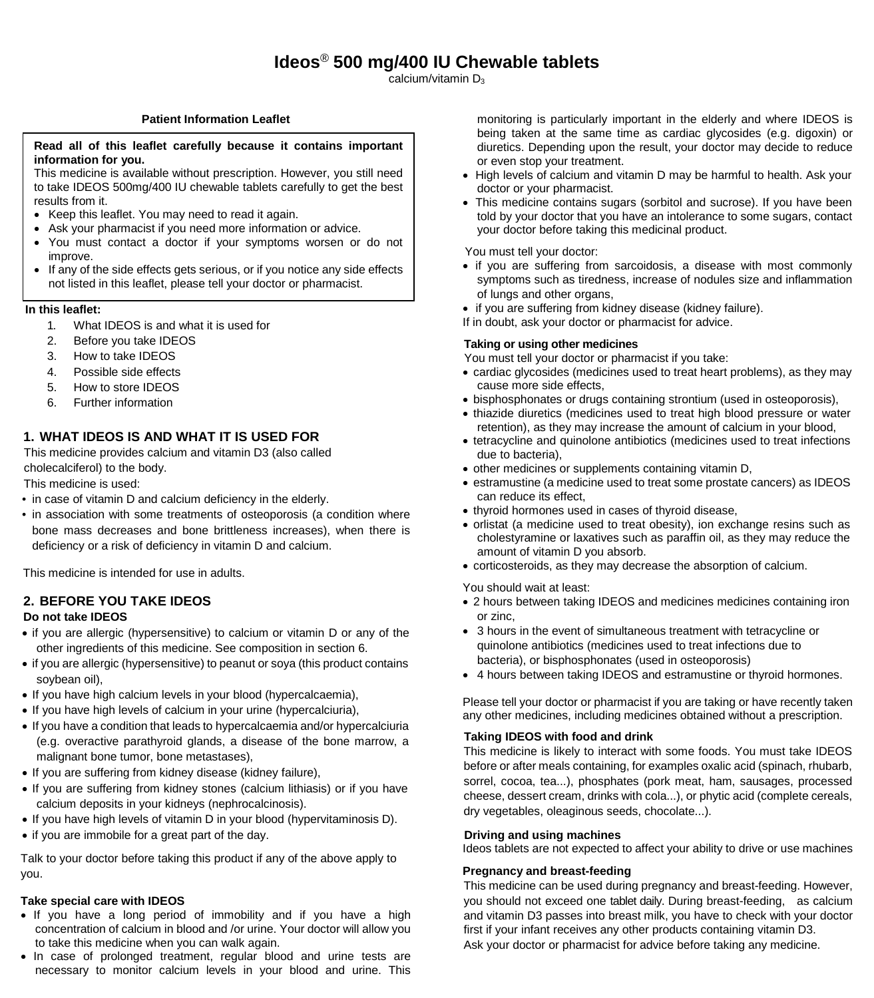$Ca$ calcium/vitamin D<sub>3</sub>

# **Patient Information Leaflet**

#### **Read all of this leaflet carefully because it contains important information for you.**

This medicine is available without prescription. However, you still need to take IDEOS 500mg/400 IU chewable tablets carefully to get the best results from it.

- Keep this leaflet. You may need to read it again.
- Ask your pharmacist if you need more information or advice.
- You must contact a doctor if your symptoms worsen or do not improve.
- If any of the side effects gets serious, or if you notice any side effects not listed in this leaflet, please tell your doctor or pharmacist.

## **In this leaflet:**

- 1. What IDEOS is and what it is used for
- 2. Before you take IDEOS
- 3. How to take IDEOS
- 4. Possible side effects
- 5. How to store IDEOS
- 6. Further information

# **1. WHAT IDEOS IS AND WHAT IT IS USED FOR**

This medicine provides calcium and vitamin D3 (also called cholecalciferol) to the body.

This medicine is used:

- in case of vitamin D and calcium deficiency in the elderly.
- in association with some treatments of osteoporosis (a condition where bone mass decreases and bone brittleness increases), when there is deficiency or a risk of deficiency in vitamin D and calcium.

This medicine is intended for use in adults.

# **2. BEFORE YOU TAKE IDEOS**

## **Do not take IDEOS**

- if you are allergic (hypersensitive) to calcium or vitamin D or any of the other ingredients of this medicine. See composition in section 6.
- if you are allergic (hypersensitive) to peanut or soya (this product contains soybean oil),
- If you have high calcium levels in your blood (hypercalcaemia),
- If you have high levels of calcium in your urine (hypercalciuria),
- If you have a condition that leads to hypercalcaemia and/or hypercalciuria (e.g. overactive parathyroid glands, a disease of the bone marrow, a malignant bone tumor, bone metastases),
- If you are suffering from kidney disease (kidney failure),
- If you are suffering from kidney stones (calcium lithiasis) or if you have calcium deposits in your kidneys (nephrocalcinosis).
- If you have high levels of vitamin D in your blood (hypervitaminosis D).
- if you are immobile for a great part of the day.

Talk to your doctor before taking this product if any of the above apply to you.

## **Take special care with IDEOS**

- If you have a long period of immobility and if you have a high concentration of calcium in blood and /or urine. Your doctor will allow you to take this medicine when you can walk again.
- In case of prolonged treatment, regular blood and urine tests are necessary to monitor calcium levels in your blood and urine. This

monitoring is particularly important in the elderly and where IDEOS is being taken at the same time as cardiac glycosides (e.g. digoxin) or diuretics. Depending upon the result, your doctor may decide to reduce or even stop your treatment.

- High levels of calcium and vitamin D may be harmful to health. Ask your doctor or your pharmacist.
- This medicine contains sugars (sorbitol and sucrose). If you have been told by your doctor that you have an intolerance to some sugars, contact your doctor before taking this medicinal product.

You must tell your doctor:

- if you are suffering from sarcoidosis, a disease with most commonly symptoms such as tiredness, increase of nodules size and inflammation of lungs and other organs,
- if you are suffering from kidney disease (kidney failure).
- If in doubt, ask your doctor or pharmacist for advice.

### **Taking or using other medicines**

You must tell your doctor or pharmacist if you take:

- cardiac glycosides (medicines used to treat heart problems), as they may cause more side effects,
- bisphosphonates or drugs containing strontium (used in osteoporosis),
- thiazide diuretics (medicines used to treat high blood pressure or water retention), as they may increase the amount of calcium in your blood,
- tetracycline and quinolone antibiotics (medicines used to treat infections due to bacteria),
- other medicines or supplements containing vitamin D,
- estramustine (a medicine used to treat some prostate cancers) as IDEOS can reduce its effect,
- thyroid hormones used in cases of thyroid disease,
- orlistat (a medicine used to treat obesity), ion exchange resins such as cholestyramine or laxatives such as paraffin oil, as they may reduce the amount of vitamin D you absorb.
- corticosteroids, as they may decrease the absorption of calcium.

You should wait at least:

- 2 hours between taking IDEOS and medicines medicines containing iron or zinc,
- 3 hours in the event of simultaneous treatment with tetracycline or quinolone antibiotics (medicines used to treat infections due to bacteria), or bisphosphonates (used in osteoporosis)
- 4 hours between taking IDEOS and estramustine or thyroid hormones.

Please tell your doctor or pharmacist if you are taking or have recently taken any other medicines, including medicines obtained without a prescription.

## **Taking IDEOS with food and drink**

This medicine is likely to interact with some foods. You must take IDEOS before or after meals containing, for examples oxalic acid (spinach, rhubarb, sorrel, cocoa, tea...), phosphates (pork meat, ham, sausages, processed cheese, dessert cream, drinks with cola...), or phytic acid (complete cereals, dry vegetables, oleaginous seeds, chocolate...).

#### **Driving and using machines**

Ideos tablets are not expected to affect your ability to drive or use machines

# **Pregnancy and breast-feeding**

This medicine can be used during pregnancy and breast-feeding. However, you should not exceed one tablet daily. During breast-feeding, as calcium and vitamin D3 passes into breast milk, you have to check with your doctor first if your infant receives any other products containing vitamin D3. Ask your doctor or pharmacist for advice before taking any medicine.